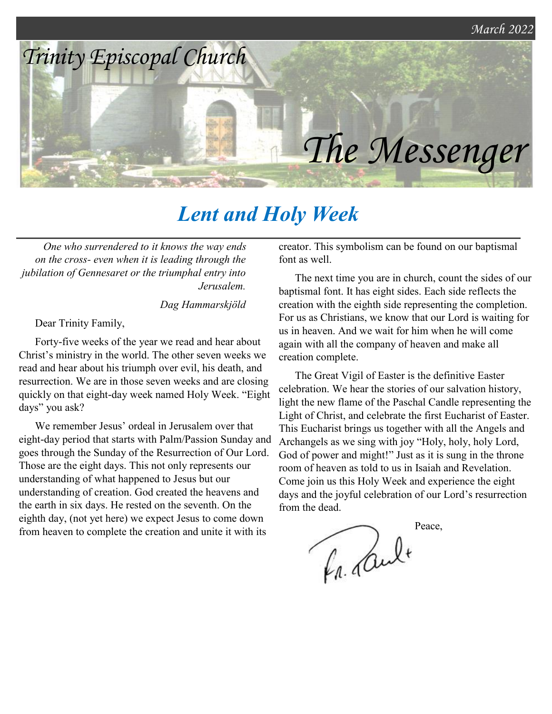

# *Lent and Holy Week*

*One who surrendered to it knows the way ends on the cross‑ even when it is leading through the jubilation of Gennesaret or the triumphal entry into Jerusalem.*

*Dag Hammarskjöld*

Dear Trinity Family,

Forty-five weeks of the year we read and hear about Christ's ministry in the world. The other seven weeks we read and hear about his triumph over evil, his death, and resurrection. We are in those seven weeks and are closing quickly on that eight-day week named Holy Week. "Eight days" you ask?

We remember Jesus' ordeal in Jerusalem over that eight-day period that starts with Palm/Passion Sunday and goes through the Sunday of the Resurrection of Our Lord. Those are the eight days. This not only represents our understanding of what happened to Jesus but our understanding of creation. God created the heavens and the earth in six days. He rested on the seventh. On the eighth day, (not yet here) we expect Jesus to come down from heaven to complete the creation and unite it with its

creator. This symbolism can be found on our baptismal font as well.

The next time you are in church, count the sides of our baptismal font. It has eight sides. Each side reflects the creation with the eighth side representing the completion. For us as Christians, we know that our Lord is waiting for us in heaven. And we wait for him when he will come again with all the company of heaven and make all creation complete.

The Great Vigil of Easter is the definitive Easter celebration. We hear the stories of our salvation history, light the new flame of the Paschal Candle representing the Light of Christ, and celebrate the first Eucharist of Easter. This Eucharist brings us together with all the Angels and Archangels as we sing with joy "Holy, holy, holy Lord, God of power and might!" Just as it is sung in the throne room of heaven as told to us in Isaiah and Revelation. Come join us this Holy Week and experience the eight days and the joyful celebration of our Lord's resurrection from the dead.

Peace, La Cult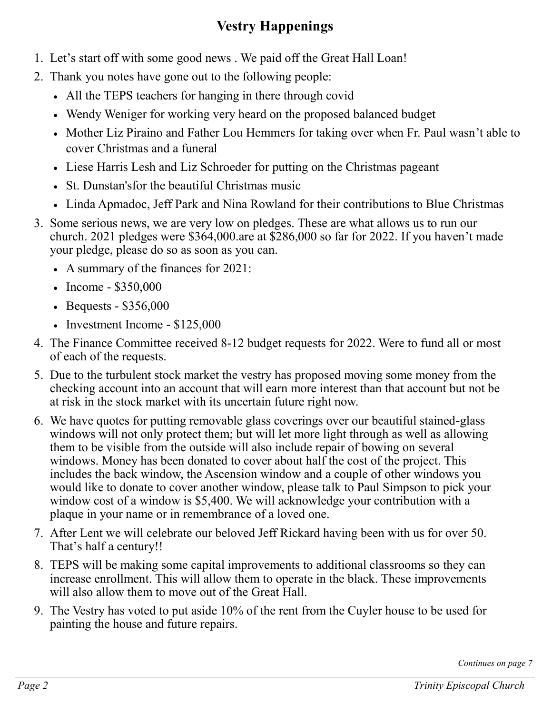### **Vestry Happenings**

- 1. Let's start off with some good news . We paid off the Great Hall Loan!
- 2. Thank you notes have gone out to the following people:
	- All the TEPS teachers for hanging in there through covid
	- Wendy Weniger for working very heard on the proposed balanced budget
	- Mother Liz Piraino and Father Lou Hemmers for taking over when Fr. Paul wasn't able to cover Christmas and a funeral
	- Liese Harris Lesh and Liz Schroeder for putting on the Christmas pageant
	- St. Dunstan'sfor the beautiful Christmas music
	- Linda Apmadoc, Jeff Park and Nina Rowland for their contributions to Blue Christmas
- 3. Some serious news, we are very low on pledges. These are what allows us to run our church. 2021 pledges were \$364,000.are at \$286,000 so far for 2022. If you haven't made your pledge, please do so as soon as you can.
	- A summary of the finances for 2021:
	- Income \$350,000
	- Bequests \$356,000
	- Investment Income \$125,000
- 4. The Finance Committee received 8-12 budget requests for 2022. Were to fund all or most of each of the requests.
- 5. Due to the turbulent stock market the vestry has proposed moving some money from the checking account into an account that will earn more interest than that account but not be at risk in the stock market with its uncertain future right now.
- 6. We have quotes for putting removable glass coverings over our beautiful stained-glass windows will not only protect them; but will let more light through as well as allowing them to be visible from the outside will also include repair of bowing on several windows. Money has been donated to cover about half the cost of the project. This includes the back window, the Ascension window and a couple of other windows you would like to donate to cover another window, please talk to Paul Simpson to pick your window cost of a window is \$5,400. We will acknowledge your contribution with a plaque in your name or in remembrance of a loved one.
- 7. After Lent we will celebrate our beloved Jeff Rickard having been with us for over 50. That's half a century!!
- 8. TEPS will be making some capital improvements to additional classrooms so they can increase enrollment. This will allow them to operate in the black. These improvements will also allow them to move out of the Great Hall.
- 9. The Vestry has voted to put aside 10% of the rent from the Cuyler house to be used for painting the house and future repairs.

*Continues on page 7*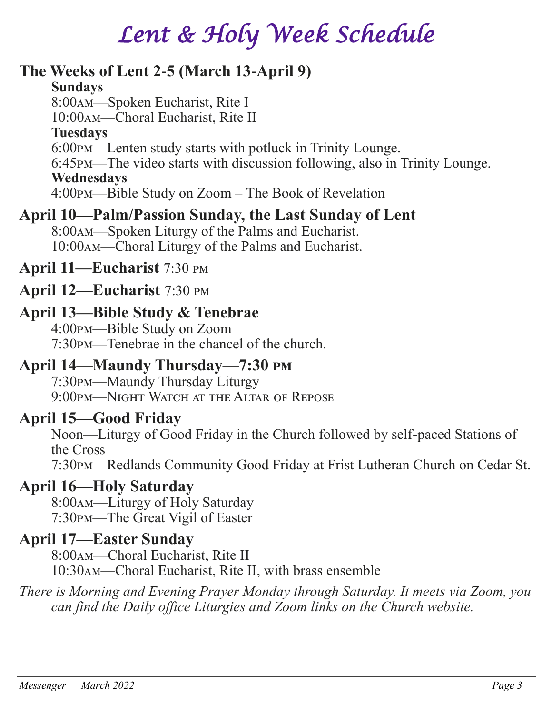# *Lent & Holy Week Schedule*

#### **The Weeks of Lent 2-5 (March 13-April 9) Sundays** 8:00am—Spoken Eucharist, Rite I 10:00am—Choral Eucharist, Rite II **Tuesdays** 6:00pm—Lenten study starts with potluck in Trinity Lounge. 6:45pm—The video starts with discussion following, also in Trinity Lounge. **Wednesdays** 4:00pm—Bible Study on Zoom – The Book of Revelation

### **April 10—Palm/Passion Sunday, the Last Sunday of Lent**

8:00am—Spoken Liturgy of the Palms and Eucharist. 10:00am—Choral Liturgy of the Palms and Eucharist.

### **April 11—Eucharist** 7:30 pm

#### **April 12—Eucharist** 7:30 pm

#### **April 13—Bible Study & Tenebrae**

4:00pm—Bible Study on Zoom 7:30pm—Tenebrae in the chancel of the church.

### **April 14—Maundy Thursday—7:30 pm**

7:30pm—Maundy Thursday Liturgy 9:00pm—Night Watch at the Altar of Repose

### **April 15—Good Friday**

Noon—Liturgy of Good Friday in the Church followed by self-paced Stations of the Cross

7:30pm—Redlands Community Good Friday at Frist Lutheran Church on Cedar St.

### **April 16—Holy Saturday**

8:00am—Liturgy of Holy Saturday 7:30pm—The Great Vigil of Easter

### **April 17—Easter Sunday**

8:00am—Choral Eucharist, Rite II 10:30am—Choral Eucharist, Rite II, with brass ensemble

*There is Morning and Evening Prayer Monday through Saturday. It meets via Zoom, you can find the Daily office Liturgies and Zoom links on the Church website.*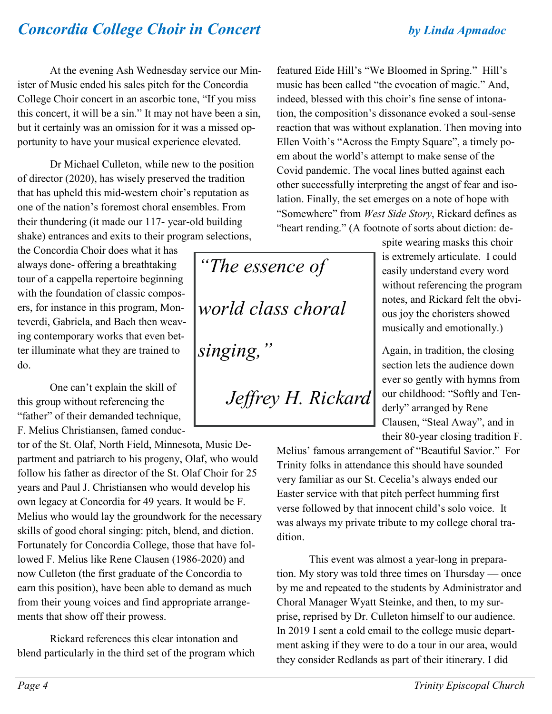## *Concordia College Choir in Concert by Linda Apmadoc*

At the evening Ash Wednesday service our Minister of Music ended his sales pitch for the Concordia College Choir concert in an ascorbic tone, "If you miss this concert, it will be a sin." It may not have been a sin, but it certainly was an omission for it was a missed opportunity to have your musical experience elevated.

Dr Michael Culleton, while new to the position of director (2020), has wisely preserved the tradition that has upheld this mid-western choir's reputation as one of the nation's foremost choral ensembles. From their thundering (it made our 117- year-old building shake) entrances and exits to their program selections,

the Concordia Choir does what it has always done- offering a breathtaking tour of a cappella repertoire beginning with the foundation of classic composers, for instance in this program, Monteverdi, Gabriela, and Bach then weaving contemporary works that even better illuminate what they are trained to do.

One can't explain the skill of this group without referencing the "father" of their demanded technique, F. Melius Christiansen, famed conduc-

tor of the St. Olaf, North Field, Minnesota, Music Department and patriarch to his progeny, Olaf, who would follow his father as director of the St. Olaf Choir for 25 years and Paul J. Christiansen who would develop his own legacy at Concordia for 49 years. It would be F. Melius who would lay the groundwork for the necessary skills of good choral singing: pitch, blend, and diction. Fortunately for Concordia College, those that have followed F. Melius like Rene Clausen (1986-2020) and now Culleton (the first graduate of the Concordia to earn this position), have been able to demand as much from their young voices and find appropriate arrangements that show off their prowess.

Rickard references this clear intonation and blend particularly in the third set of the program which featured Eide Hill's "We Bloomed in Spring." Hill's music has been called "the evocation of magic." And, indeed, blessed with this choir's fine sense of intonation, the composition's dissonance evoked a soul-sense reaction that was without explanation. Then moving into Ellen Voith's "Across the Empty Square", a timely poem about the world's attempt to make sense of the Covid pandemic. The vocal lines butted against each other successfully interpreting the angst of fear and isolation. Finally, the set emerges on a note of hope with "Somewhere" from *West Side Story*, Rickard defines as "heart rending." (A footnote of sorts about diction: de-

*"The essence of world class choral singing,"* 

*Jeffrey H. Rickard*

spite wearing masks this choir is extremely articulate. I could easily understand every word without referencing the program notes, and Rickard felt the obvious joy the choristers showed musically and emotionally.)

Again, in tradition, the closing section lets the audience down ever so gently with hymns from our childhood: "Softly and Tenderly" arranged by Rene Clausen, "Steal Away", and in their 80-year closing tradition F.

Melius' famous arrangement of "Beautiful Savior." For Trinity folks in attendance this should have sounded very familiar as our St. Cecelia's always ended our Easter service with that pitch perfect humming first verse followed by that innocent child's solo voice. It was always my private tribute to my college choral tradition.

This event was almost a year-long in preparation. My story was told three times on Thursday — once by me and repeated to the students by Administrator and Choral Manager Wyatt Steinke, and then, to my surprise, reprised by Dr. Culleton himself to our audience. In 2019 I sent a cold email to the college music department asking if they were to do a tour in our area, would they consider Redlands as part of their itinerary. I did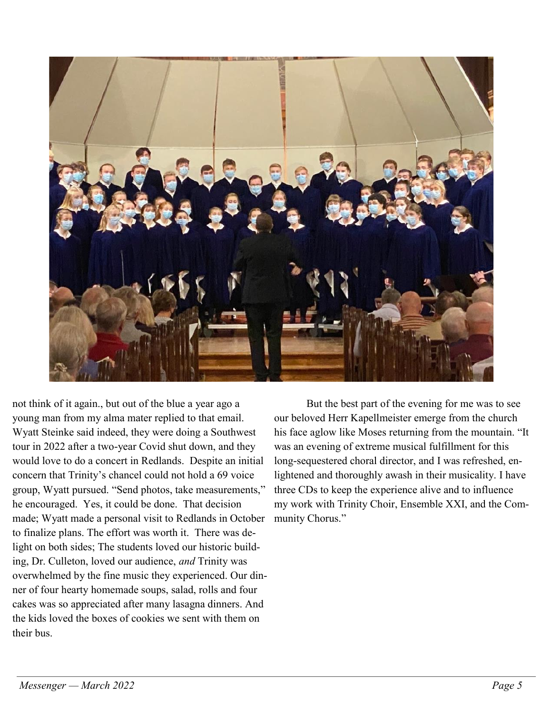

not think of it again., but out of the blue a year ago a young man from my alma mater replied to that email. Wyatt Steinke said indeed, they were doing a Southwest tour in 2022 after a two-year Covid shut down, and they would love to do a concert in Redlands. Despite an initial concern that Trinity's chancel could not hold a 69 voice group, Wyatt pursued. "Send photos, take measurements," he encouraged. Yes, it could be done. That decision made; Wyatt made a personal visit to Redlands in October to finalize plans. The effort was worth it. There was delight on both sides; The students loved our historic building, Dr. Culleton, loved our audience, *and* Trinity was overwhelmed by the fine music they experienced. Our dinner of four hearty homemade soups, salad, rolls and four cakes was so appreciated after many lasagna dinners. And the kids loved the boxes of cookies we sent with them on their bus.

But the best part of the evening for me was to see our beloved Herr Kapellmeister emerge from the church his face aglow like Moses returning from the mountain. "It was an evening of extreme musical fulfillment for this long-sequestered choral director, and I was refreshed, enlightened and thoroughly awash in their musicality. I have three CDs to keep the experience alive and to influence my work with Trinity Choir, Ensemble XXI, and the Community Chorus."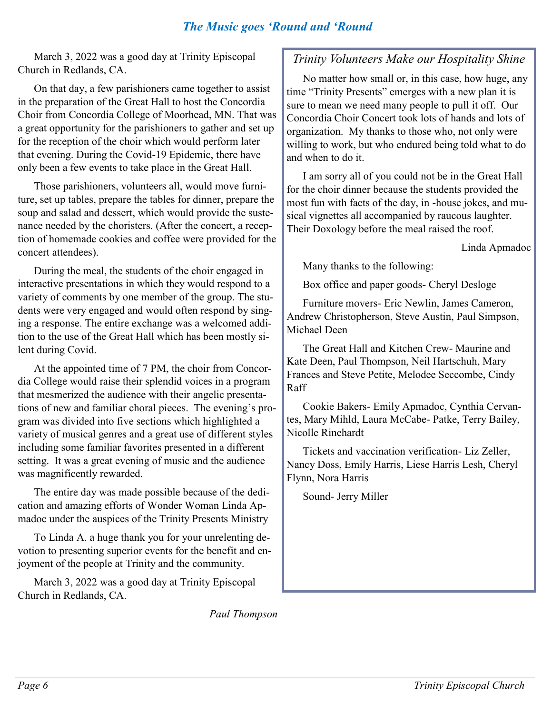#### *The Music goes 'Round and 'Round*

March 3, 2022 was a good day at Trinity Episcopal Church in Redlands, CA.

On that day, a few parishioners came together to assist in the preparation of the Great Hall to host the Concordia Choir from Concordia College of Moorhead, MN. That was a great opportunity for the parishioners to gather and set up for the reception of the choir which would perform later that evening. During the Covid-19 Epidemic, there have only been a few events to take place in the Great Hall.

Those parishioners, volunteers all, would move furniture, set up tables, prepare the tables for dinner, prepare the soup and salad and dessert, which would provide the sustenance needed by the choristers. (After the concert, a reception of homemade cookies and coffee were provided for the concert attendees).

During the meal, the students of the choir engaged in interactive presentations in which they would respond to a variety of comments by one member of the group. The students were very engaged and would often respond by singing a response. The entire exchange was a welcomed addition to the use of the Great Hall which has been mostly silent during Covid.

At the appointed time of 7 PM, the choir from Concordia College would raise their splendid voices in a program that mesmerized the audience with their angelic presentations of new and familiar choral pieces. The evening's program was divided into five sections which highlighted a variety of musical genres and a great use of different styles including some familiar favorites presented in a different setting. It was a great evening of music and the audience was magnificently rewarded.

The entire day was made possible because of the dedication and amazing efforts of Wonder Woman Linda Apmadoc under the auspices of the Trinity Presents Ministry

To Linda A. a huge thank you for your unrelenting devotion to presenting superior events for the benefit and enjoyment of the people at Trinity and the community.

March 3, 2022 was a good day at Trinity Episcopal Church in Redlands, CA.

*Paul Thompson*

#### *Trinity Volunteers Make our Hospitality Shine*

No matter how small or, in this case, how huge, any time "Trinity Presents" emerges with a new plan it is sure to mean we need many people to pull it off. Our Concordia Choir Concert took lots of hands and lots of organization. My thanks to those who, not only were willing to work, but who endured being told what to do and when to do it.

I am sorry all of you could not be in the Great Hall for the choir dinner because the students provided the most fun with facts of the day, in -house jokes, and musical vignettes all accompanied by raucous laughter. Their Doxology before the meal raised the roof.

Linda Apmadoc

Many thanks to the following:

Box office and paper goods- Cheryl Desloge

Furniture movers- Eric Newlin, James Cameron, Andrew Christopherson, Steve Austin, Paul Simpson, Michael Deen

The Great Hall and Kitchen Crew- Maurine and Kate Deen, Paul Thompson, Neil Hartschuh, Mary Frances and Steve Petite, Melodee Seccombe, Cindy Raff

Cookie Bakers- Emily Apmadoc, Cynthia Cervantes, Mary Mihld, Laura McCabe- Patke, Terry Bailey, Nicolle Rinehardt

Tickets and vaccination verification- Liz Zeller, Nancy Doss, Emily Harris, Liese Harris Lesh, Cheryl Flynn, Nora Harris

Sound- Jerry Miller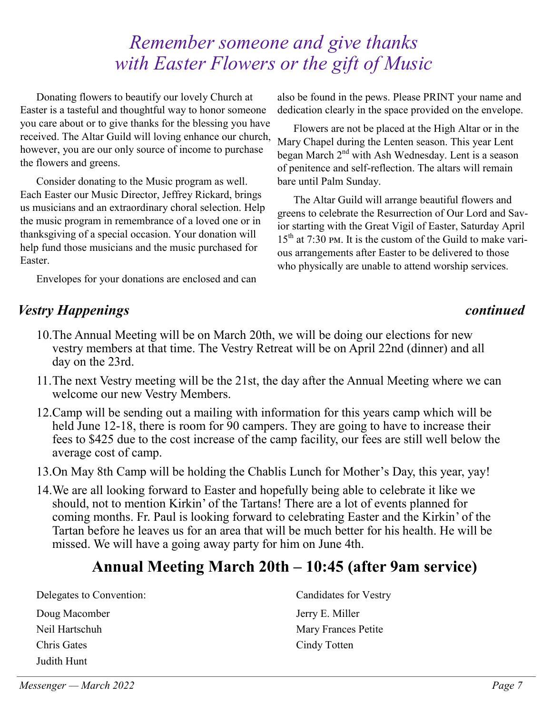# *Remember someone and give thanks with Easter Flowers or the gift of Music*

Donating flowers to beautify our lovely Church at Easter is a tasteful and thoughtful way to honor someone you care about or to give thanks for the blessing you have received. The Altar Guild will loving enhance our church, however, you are our only source of income to purchase the flowers and greens.

Consider donating to the Music program as well. Each Easter our Music Director, Jeffrey Rickard, brings us musicians and an extraordinary choral selection. Help the music program in remembrance of a loved one or in thanksgiving of a special occasion. Your donation will help fund those musicians and the music purchased for Easter.

Envelopes for your donations are enclosed and can

#### *Vestry Happenings continued*

also be found in the pews. Please PRINT your name and dedication clearly in the space provided on the envelope.

Flowers are not be placed at the High Altar or in the Mary Chapel during the Lenten season. This year Lent began March 2<sup>nd</sup> with Ash Wednesday. Lent is a season of penitence and self-reflection. The altars will remain bare until Palm Sunday.

The Altar Guild will arrange beautiful flowers and greens to celebrate the Resurrection of Our Lord and Savior starting with the Great Vigil of Easter, Saturday April  $15<sup>th</sup>$  at 7:30 pm. It is the custom of the Guild to make various arrangements after Easter to be delivered to those who physically are unable to attend worship services.

- 10.The Annual Meeting will be on March 20th, we will be doing our elections for new vestry members at that time. The Vestry Retreat will be on April 22nd (dinner) and all day on the 23rd.
- 11.The next Vestry meeting will be the 21st, the day after the Annual Meeting where we can welcome our new Vestry Members.
- 12.Camp will be sending out a mailing with information for this years camp which will be held June 12-18, there is room for 90 campers. They are going to have to increase their fees to \$425 due to the cost increase of the camp facility, our fees are still well below the average cost of camp.
- 13.On May 8th Camp will be holding the Chablis Lunch for Mother's Day, this year, yay!
- 14.We are all looking forward to Easter and hopefully being able to celebrate it like we should, not to mention Kirkin' of the Tartans! There are a lot of events planned for coming months. Fr. Paul is looking forward to celebrating Easter and the Kirkin' of the Tartan before he leaves us for an area that will be much better for his health. He will be missed. We will have a going away party for him on June 4th.

# **Annual Meeting March 20th – 10:45 (after 9am service)**

Delegates to Convention:

Doug Macomber Neil Hartschuh Chris Gates Judith Hunt

Candidates for Vestry Jerry E. Miller Mary Frances Petite Cindy Totten